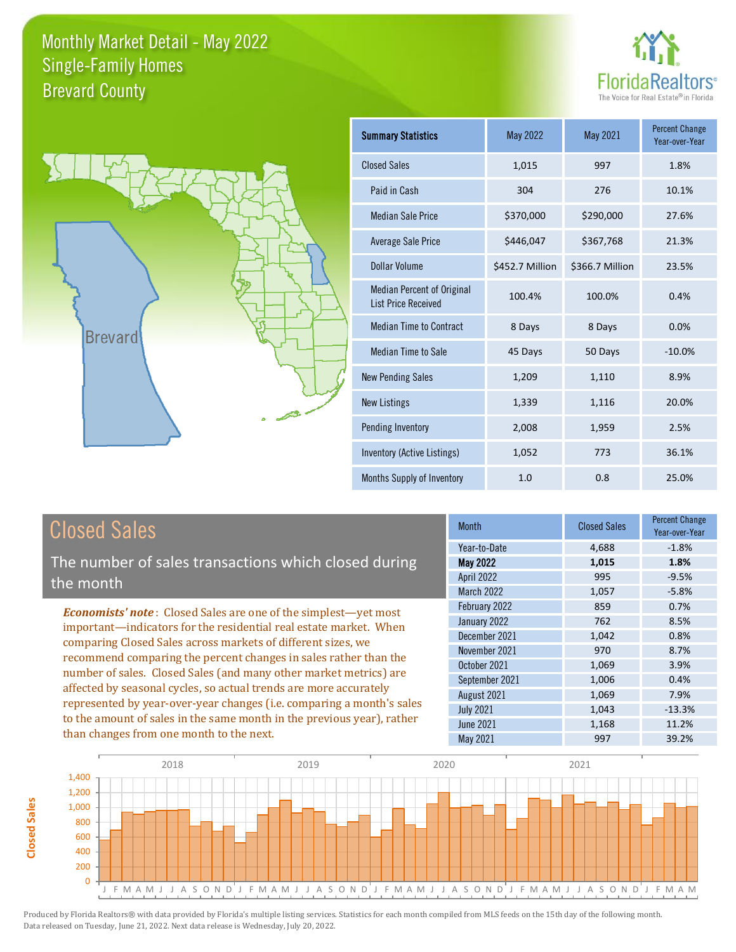



| <b>Summary Statistics</b>                                       | May 2022        | May 2021        | <b>Percent Change</b><br>Year-over-Year |
|-----------------------------------------------------------------|-----------------|-----------------|-----------------------------------------|
| <b>Closed Sales</b>                                             | 1,015           | 997             | 1.8%                                    |
| Paid in Cash                                                    | 304             | 276             | 10.1%                                   |
| <b>Median Sale Price</b>                                        | \$370,000       | \$290,000       | 27.6%                                   |
| <b>Average Sale Price</b>                                       | \$446,047       | \$367,768       | 21.3%                                   |
| Dollar Volume                                                   | \$452.7 Million | \$366.7 Million | 23.5%                                   |
| <b>Median Percent of Original</b><br><b>List Price Received</b> | 100.4%          | 100.0%          | 0.4%                                    |
| <b>Median Time to Contract</b>                                  | 8 Days          | 8 Days          | 0.0%                                    |
| <b>Median Time to Sale</b>                                      | 45 Days         | 50 Days         | $-10.0\%$                               |
| <b>New Pending Sales</b>                                        | 1,209           | 1,110           | 8.9%                                    |
| <b>New Listings</b>                                             | 1,339           | 1,116           | 20.0%                                   |
| Pending Inventory                                               | 2,008           | 1,959           | 2.5%                                    |
| Inventory (Active Listings)                                     | 1,052           | 773             | 36.1%                                   |
| Months Supply of Inventory                                      | 1.0             | 0.8             | 25.0%                                   |

# Closed Sales

The number of sales transactions which closed during the month

*Economists' note* : Closed Sales are one of the simplest—yet most important—indicators for the residential real estate market. When comparing Closed Sales across markets of different sizes, we recommend comparing the percent changes in sales rather than the number of sales. Closed Sales (and many other market metrics) are affected by seasonal cycles, so actual trends are more accurately represented by year-over-year changes (i.e. comparing a month's sales to the amount of sales in the same month in the previous year), rather than changes from one month to the next.

| Month             | <b>Closed Sales</b> | <b>Percent Change</b><br>Year-over-Year |
|-------------------|---------------------|-----------------------------------------|
| Year-to-Date      | 4,688               | $-1.8%$                                 |
| May 2022          | 1,015               | 1.8%                                    |
| April 2022        | 995                 | $-9.5%$                                 |
| <b>March 2022</b> | 1,057               | $-5.8%$                                 |
| February 2022     | 859                 | 0.7%                                    |
| January 2022      | 762                 | 8.5%                                    |
| December 2021     | 1,042               | 0.8%                                    |
| November 2021     | 970                 | 8.7%                                    |
| October 2021      | 1,069               | 3.9%                                    |
| September 2021    | 1,006               | 0.4%                                    |
| August 2021       | 1,069               | 7.9%                                    |
| <b>July 2021</b>  | 1,043               | $-13.3%$                                |
| <b>June 2021</b>  | 1,168               | 11.2%                                   |
| May 2021          | 997                 | 39.2%                                   |



**Closed Sales**

**Closed Sales**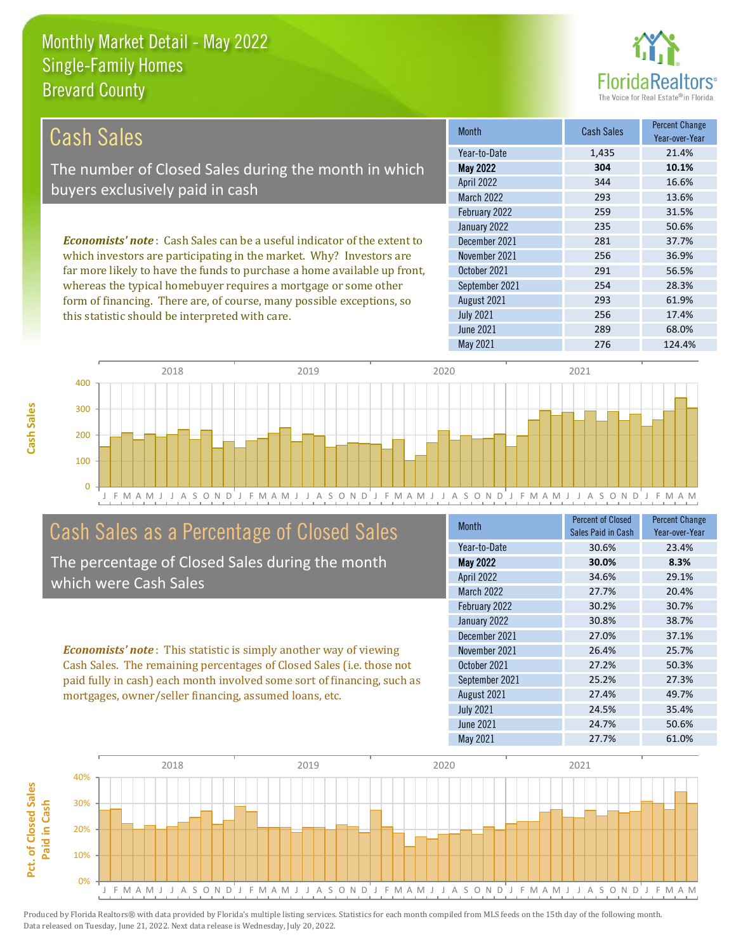this statistic should be interpreted with care.



256 17.4%

| Cash Sales                                                                     | <b>Month</b>      | <b>Cash Sales</b> | <b>Percent Change</b><br>Year-over-Year |
|--------------------------------------------------------------------------------|-------------------|-------------------|-----------------------------------------|
|                                                                                | Year-to-Date      | 1,435             | 21.4%                                   |
| The number of Closed Sales during the month in which                           | <b>May 2022</b>   | 304               | 10.1%                                   |
| buyers exclusively paid in cash                                                | <b>April 2022</b> | 344               | 16.6%                                   |
|                                                                                | <b>March 2022</b> | 293               | 13.6%                                   |
|                                                                                | February 2022     | 259               | 31.5%                                   |
|                                                                                | January 2022      | 235               | 50.6%                                   |
| <b>Economists' note:</b> Cash Sales can be a useful indicator of the extent to | December 2021     | 281               | 37.7%                                   |
| which investors are participating in the market. Why? Investors are            | November 2021     | 256               | 36.9%                                   |
| far more likely to have the funds to purchase a home available up front,       | October 2021      | 291               | 56.5%                                   |
| whereas the typical homebuyer requires a mortgage or some other                | September 2021    | 254               | 28.3%                                   |
| form of financing. There are, of course, many possible exceptions, so          | August 2021       | 293               | 61.9%                                   |



# Cash Sales as a Percentage of Closed Sales

The percentage of Closed Sales during the month which were Cash Sales

*Economists' note* : This statistic is simply another way of viewing Cash Sales. The remaining percentages of Closed Sales (i.e. those not paid fully in cash) each month involved some sort of financing, such as mortgages, owner/seller financing, assumed loans, etc.

| Month             | <b>Percent of Closed</b><br>Sales Paid in Cash | <b>Percent Change</b><br>Year-over-Year |
|-------------------|------------------------------------------------|-----------------------------------------|
| Year-to-Date      | 30.6%                                          | 23.4%                                   |
| <b>May 2022</b>   | 30.0%                                          | 8.3%                                    |
| April 2022        | 34.6%                                          | 29.1%                                   |
| <b>March 2022</b> | 27.7%                                          | 20.4%                                   |
| February 2022     | 30.2%                                          | 30.7%                                   |
| January 2022      | 30.8%                                          | 38.7%                                   |
| December 2021     | 27.0%                                          | 37.1%                                   |
| November 2021     | 26.4%                                          | 25.7%                                   |
| October 2021      | 27.2%                                          | 50.3%                                   |
| September 2021    | 25.2%                                          | 27.3%                                   |
| August 2021       | 27.4%                                          | 49.7%                                   |
| <b>July 2021</b>  | 24.5%                                          | 35.4%                                   |
| June 2021         | 24.7%                                          | 50.6%                                   |
| May 2021          | 27.7%                                          | 61.0%                                   |

May 2021 276 276 124.4%

June 2021 289 68.0%

July 2021

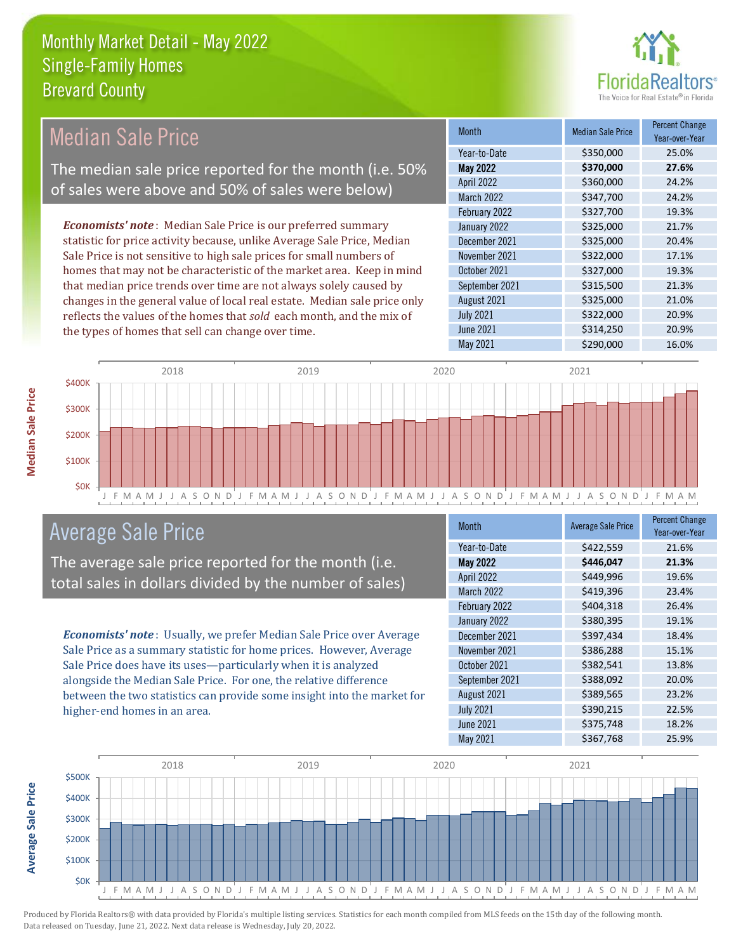

| <b>Median Sale Price</b>                                                  | <b>Month</b>      | <b>Median Sale Price</b> | <b>Percent Change</b><br>Year-over-Year |
|---------------------------------------------------------------------------|-------------------|--------------------------|-----------------------------------------|
|                                                                           | Year-to-Date      | \$350,000                | 25.0%                                   |
| The median sale price reported for the month (i.e. 50%                    | <b>May 2022</b>   | \$370,000                | 27.6%                                   |
| of sales were above and 50% of sales were below)                          | <b>April 2022</b> | \$360,000                | 24.2%                                   |
|                                                                           | March 2022        | \$347,700                | 24.2%                                   |
|                                                                           | February 2022     | \$327,700                | 19.3%                                   |
| <b>Economists' note:</b> Median Sale Price is our preferred summary       | January 2022      | \$325,000                | 21.7%                                   |
| statistic for price activity because, unlike Average Sale Price, Median   | December 2021     | \$325,000                | 20.4%                                   |
| Sale Price is not sensitive to high sale prices for small numbers of      | November 2021     | \$322,000                | 17.1%                                   |
| homes that may not be characteristic of the market area. Keep in mind     | October 2021      | \$327,000                | 19.3%                                   |
| that median price trends over time are not always solely caused by        | September 2021    | \$315,500                | 21.3%                                   |
| changes in the general value of local real estate. Median sale price only | August 2021       | \$325,000                | 21.0%                                   |
| reflects the values of the homes that sold each month, and the mix of     | <b>July 2021</b>  | \$322,000                | 20.9%                                   |
| the types of homes that sell can change over time.                        | June 2021         | \$314,250                | 20.9%                                   |
|                                                                           | May 2021          | \$290,000                | 16.0%                                   |



# Average Sale Price

The average sale price reported for the month (i.e. total sales in dollars divided by the number of sales)

*Economists' note* : Usually, we prefer Median Sale Price over Average Sale Price as a summary statistic for home prices. However, Average Sale Price does have its uses—particularly when it is analyzed alongside the Median Sale Price. For one, the relative difference between the two statistics can provide some insight into the market for higher-end homes in an area.

| Month             | <b>Average Sale Price</b> | <b>Percent Change</b><br>Year-over-Year |
|-------------------|---------------------------|-----------------------------------------|
| Year-to-Date      | \$422,559                 | 21.6%                                   |
| <b>May 2022</b>   | \$446,047                 | 21.3%                                   |
| <b>April 2022</b> | \$449,996                 | 19.6%                                   |
| <b>March 2022</b> | \$419,396                 | 23.4%                                   |
| February 2022     | \$404,318                 | 26.4%                                   |
| January 2022      | \$380,395                 | 19.1%                                   |
| December 2021     | \$397,434                 | 18.4%                                   |
| November 2021     | \$386,288                 | 15.1%                                   |
| October 2021      | \$382,541                 | 13.8%                                   |
| September 2021    | \$388,092                 | 20.0%                                   |
| August 2021       | \$389,565                 | 23.2%                                   |
| <b>July 2021</b>  | \$390,215                 | 22.5%                                   |
| <b>June 2021</b>  | \$375,748                 | 18.2%                                   |
| May 2021          | \$367,768                 | 25.9%                                   |



Produced by Florida Realtors® with data provided by Florida's multiple listing services. Statistics for each month compiled from MLS feeds on the 15th day of the following month. Data released on Tuesday, June 21, 2022. Next data release is Wednesday, July 20, 2022.

**Average Sale Price**

**Average Sale Price**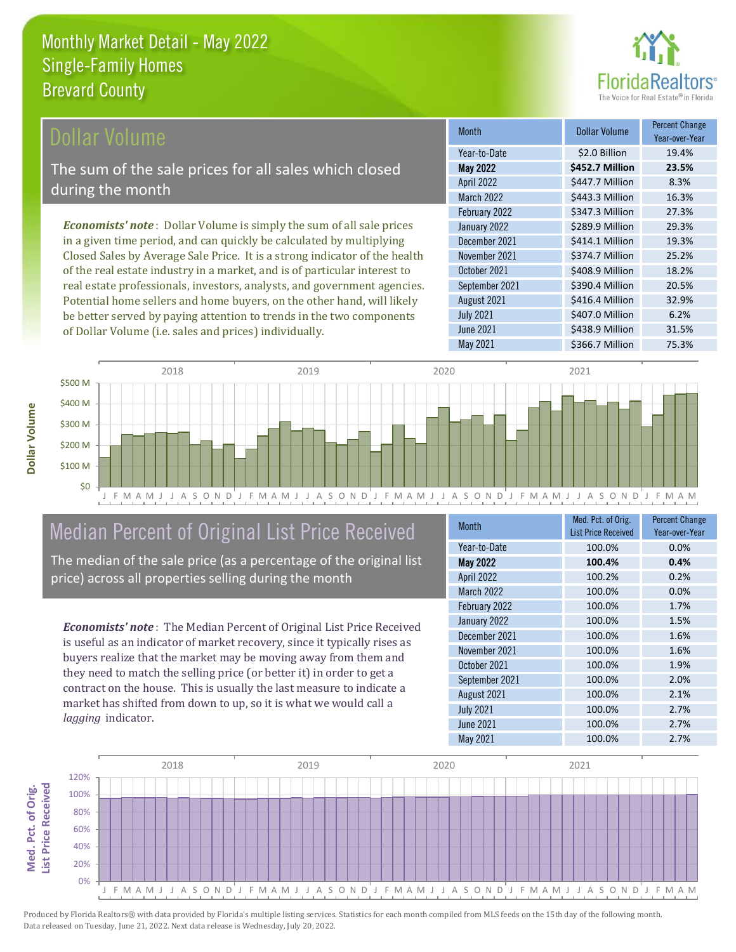

### **Ollar Volume**

The sum of the sale prices for all sales which closed during the month

*Economists' note* : Dollar Volume is simply the sum of all sale prices in a given time period, and can quickly be calculated by multiplying Closed Sales by Average Sale Price. It is a strong indicator of the health of the real estate industry in a market, and is of particular interest to real estate professionals, investors, analysts, and government agencies. Potential home sellers and home buyers, on the other hand, will likely be better served by paying attention to trends in the two components of Dollar Volume (i.e. sales and prices) individually.

| <b>Month</b>     | Dollar Volume   | <b>Percent Change</b><br>Year-over-Year |
|------------------|-----------------|-----------------------------------------|
| Year-to-Date     | \$2.0 Billion   | 19.4%                                   |
| <b>May 2022</b>  | \$452.7 Million | 23.5%                                   |
| April 2022       | \$447.7 Million | 8.3%                                    |
| March 2022       | \$443.3 Million | 16.3%                                   |
| February 2022    | \$347.3 Million | 27.3%                                   |
| January 2022     | \$289.9 Million | 29.3%                                   |
| December 2021    | \$414.1 Million | 19.3%                                   |
| November 2021    | \$374.7 Million | 25.2%                                   |
| October 2021     | \$408.9 Million | 18.2%                                   |
| September 2021   | \$390.4 Million | 20.5%                                   |
| August 2021      | \$416.4 Million | 32.9%                                   |
| <b>July 2021</b> | \$407.0 Million | 6.2%                                    |
| June 2021        | \$438.9 Million | 31.5%                                   |
| May 2021         | \$366.7 Million | 75.3%                                   |



# Median Percent of Original List Price Received

The median of the sale price (as a percentage of the original list price) across all properties selling during the month

*Economists' note* : The Median Percent of Original List Price Received is useful as an indicator of market recovery, since it typically rises as buyers realize that the market may be moving away from them and they need to match the selling price (or better it) in order to get a contract on the house. This is usually the last measure to indicate a market has shifted from down to up, so it is what we would call a *lagging* indicator.

| <b>Month</b>     | Med. Pct. of Orig.<br><b>List Price Received</b> | <b>Percent Change</b><br>Year-over-Year |
|------------------|--------------------------------------------------|-----------------------------------------|
| Year-to-Date     | 100.0%                                           | 0.0%                                    |
| <b>May 2022</b>  | 100.4%                                           | 0.4%                                    |
| April 2022       | 100.2%                                           | 0.2%                                    |
| March 2022       | 100.0%                                           | 0.0%                                    |
| February 2022    | 100.0%                                           | 1.7%                                    |
| January 2022     | 100.0%                                           | 1.5%                                    |
| December 2021    | 100.0%                                           | 1.6%                                    |
| November 2021    | 100.0%                                           | 1.6%                                    |
| October 2021     | 100.0%                                           | 1.9%                                    |
| September 2021   | 100.0%                                           | 2.0%                                    |
| August 2021      | 100.0%                                           | 2.1%                                    |
| <b>July 2021</b> | 100.0%                                           | 2.7%                                    |
| June 2021        | 100.0%                                           | 2.7%                                    |
| May 2021         | 100.0%                                           | 2.7%                                    |

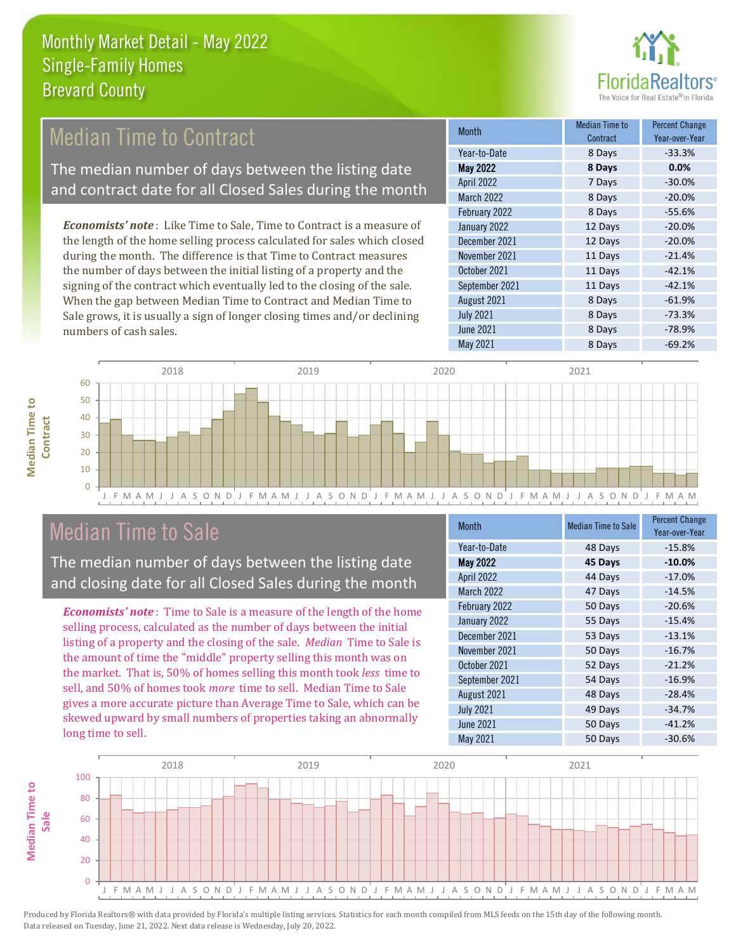

# Median Time to Contract

The median number of days between the listing date and contract date for all Closed Sales during the month

*Economists' note* : Like Time to Sale, Time to Contract is a measure of the length of the home selling process calculated for sales which closed during the month. The difference is that Time to Contract measures the number of days between the initial listing of a property and the signing of the contract which eventually led to the closing of the sale. When the gap between Median Time to Contract and Median Time to Sale grows, it is usually a sign of longer closing times and/or declining numbers of cash sales.

| <b>Month</b>      | <b>Median Time to</b><br>Contract | <b>Percent Change</b><br>Year-over-Year |
|-------------------|-----------------------------------|-----------------------------------------|
| Year-to-Date      | 8 Days                            | $-33.3%$                                |
| <b>May 2022</b>   | 8 Days                            | 0.0%                                    |
| <b>April 2022</b> | 7 Days                            | $-30.0%$                                |
| <b>March 2022</b> | 8 Days                            | $-20.0%$                                |
| February 2022     | 8 Days                            | $-55.6%$                                |
| January 2022      | 12 Days                           | $-20.0%$                                |
| December 2021     | 12 Days                           | $-20.0%$                                |
| November 2021     | 11 Days                           | $-21.4%$                                |
| October 2021      | 11 Days                           | $-42.1%$                                |
| September 2021    | 11 Days                           | $-42.1%$                                |
| August 2021       | 8 Days                            | $-61.9%$                                |
| <b>July 2021</b>  | 8 Days                            | $-73.3%$                                |
| <b>June 2021</b>  | 8 Days                            | $-78.9%$                                |
| <b>May 2021</b>   | 8 Days                            | $-69.2%$                                |



# Median Time to Sale

**Median Time to** 

**Median Time to** 

The median number of days between the listing date and closing date for all Closed Sales during the month

*Economists' note* : Time to Sale is a measure of the length of the home selling process, calculated as the number of days between the initial listing of a property and the closing of the sale. *Median* Time to Sale is the amount of time the "middle" property selling this month was on the market. That is, 50% of homes selling this month took *less* time to sell, and 50% of homes took *more* time to sell. Median Time to Sale gives a more accurate picture than Average Time to Sale, which can be skewed upward by small numbers of properties taking an abnormally long time to sell.

| Month             | <b>Median Time to Sale</b> | <b>Percent Change</b><br>Year-over-Year |
|-------------------|----------------------------|-----------------------------------------|
| Year-to-Date      | 48 Days                    | $-15.8%$                                |
| <b>May 2022</b>   | 45 Days                    | $-10.0%$                                |
| <b>April 2022</b> | 44 Days                    | $-17.0%$                                |
| <b>March 2022</b> | 47 Days                    | $-14.5%$                                |
| February 2022     | 50 Days                    | $-20.6%$                                |
| January 2022      | 55 Days                    | $-15.4%$                                |
| December 2021     | 53 Days                    | $-13.1%$                                |
| November 2021     | 50 Days                    | $-16.7%$                                |
| October 2021      | 52 Days                    | $-21.2%$                                |
| September 2021    | 54 Days                    | $-16.9%$                                |
| August 2021       | 48 Days                    | $-28.4%$                                |
| <b>July 2021</b>  | 49 Days                    | $-34.7%$                                |
| <b>June 2021</b>  | 50 Days                    | $-41.2%$                                |
| May 2021          | 50 Days                    | $-30.6%$                                |

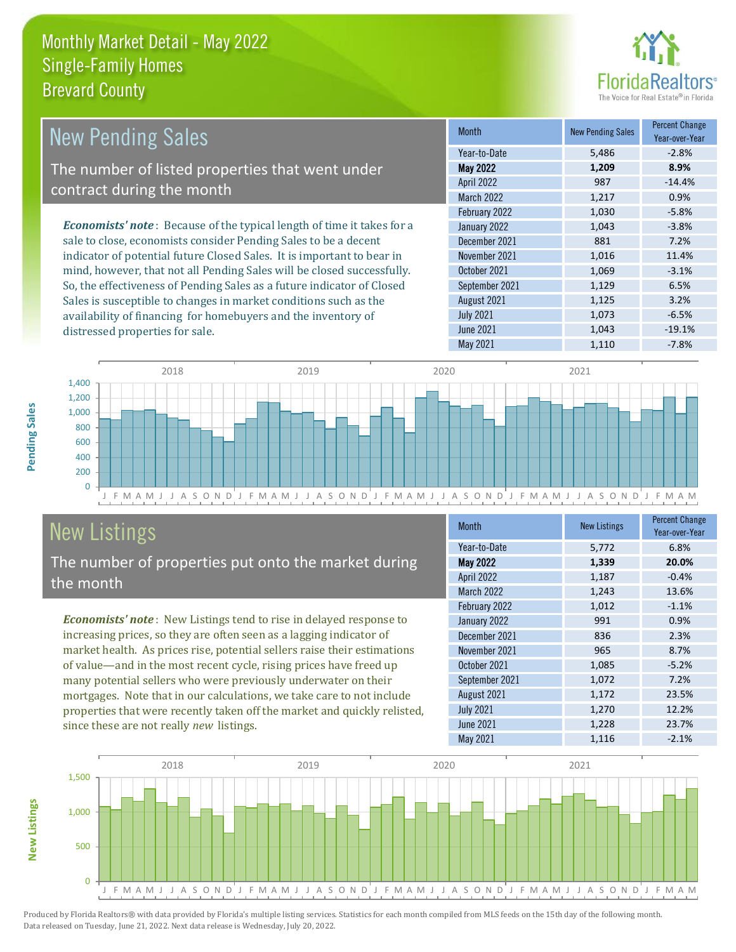distressed properties for sale.



| <b>New Pending Sales</b>                                                       | <b>Month</b>      | <b>New Pending Sales</b> | <b>Percent Change</b><br>Year-over-Year |
|--------------------------------------------------------------------------------|-------------------|--------------------------|-----------------------------------------|
|                                                                                | Year-to-Date      | 5,486                    | $-2.8%$                                 |
| The number of listed properties that went under                                | <b>May 2022</b>   | 1,209                    | 8.9%                                    |
| contract during the month                                                      | <b>April 2022</b> | 987                      | $-14.4%$                                |
|                                                                                | <b>March 2022</b> | 1,217                    | 0.9%                                    |
|                                                                                | February 2022     | 1,030                    | $-5.8%$                                 |
| <b>Economists' note</b> : Because of the typical length of time it takes for a | January 2022      | 1,043                    | $-3.8%$                                 |
| sale to close, economists consider Pending Sales to be a decent                | December 2021     | 881                      | 7.2%                                    |
| indicator of potential future Closed Sales. It is important to bear in         | November 2021     | 1,016                    | 11.4%                                   |
| mind, however, that not all Pending Sales will be closed successfully.         | October 2021      | 1,069                    | $-3.1%$                                 |
| So, the effectiveness of Pending Sales as a future indicator of Closed         | September 2021    | 1,129                    | 6.5%                                    |
| Sales is susceptible to changes in market conditions such as the               | August 2021       | 1,125                    | 3.2%                                    |



# New Listings

The number of properties put onto the market during the month

availability of financing for homebuyers and the inventory of

*Economists' note* : New Listings tend to rise in delayed response to increasing prices, so they are often seen as a lagging indicator of market health. As prices rise, potential sellers raise their estimations of value—and in the most recent cycle, rising prices have freed up many potential sellers who were previously underwater on their mortgages. Note that in our calculations, we take care to not include properties that were recently taken off the market and quickly relisted, since these are not really *new* listings.

| <b>Month</b>      | <b>New Listings</b> | <b>Percent Change</b><br>Year-over-Year |
|-------------------|---------------------|-----------------------------------------|
| Year-to-Date      | 5,772               | 6.8%                                    |
| <b>May 2022</b>   | 1,339               | 20.0%                                   |
| <b>April 2022</b> | 1,187               | $-0.4%$                                 |
| <b>March 2022</b> | 1,243               | 13.6%                                   |
| February 2022     | 1,012               | $-1.1%$                                 |
| January 2022      | 991                 | 0.9%                                    |
| December 2021     | 836                 | 2.3%                                    |
| November 2021     | 965                 | 8.7%                                    |
| October 2021      | 1,085               | $-5.2%$                                 |
| September 2021    | 1,072               | 7.2%                                    |
| August 2021       | 1,172               | 23.5%                                   |
| <b>July 2021</b>  | 1,270               | 12.2%                                   |
| June 2021         | 1,228               | 23.7%                                   |
| May 2021          | 1,116               | $-2.1%$                                 |

July 2021 **1,073** -6.5% June 2021 **1,043** -19.1% May 2021 1,110 -7.8%



Produced by Florida Realtors® with data provided by Florida's multiple listing services. Statistics for each month compiled from MLS feeds on the 15th day of the following month. Data released on Tuesday, June 21, 2022. Next data release is Wednesday, July 20, 2022.

**New Listings**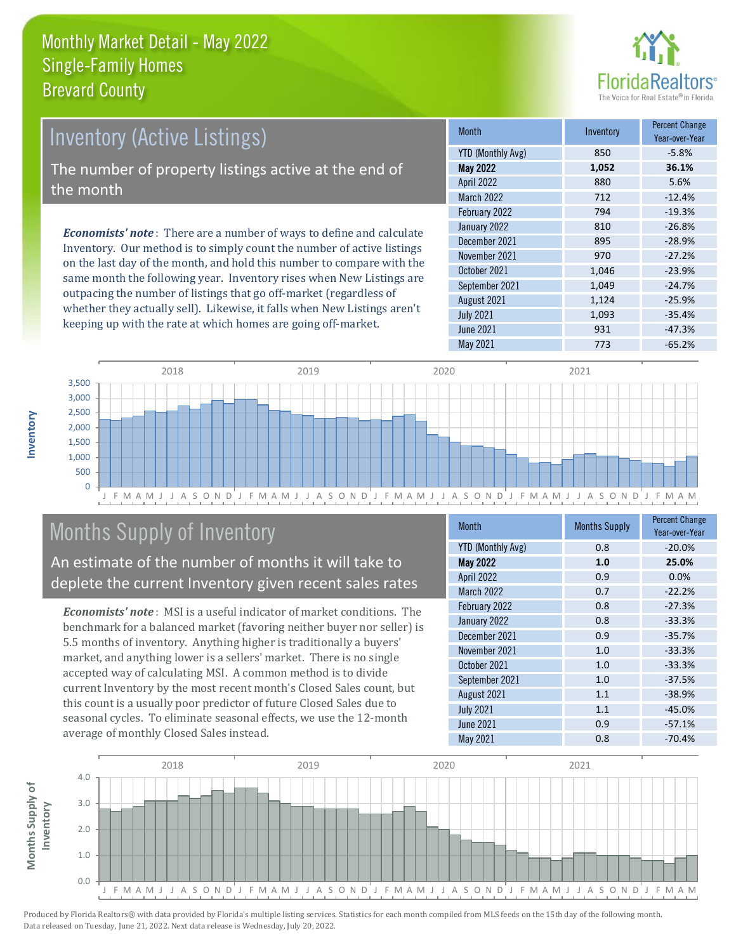

# Inventory (Active Listings) The number of property listings active at the end of the month

*Economists' note* : There are a number of ways to define and calculate Inventory. Our method is to simply count the number of active listings on the last day of the month, and hold this number to compare with the same month the following year. Inventory rises when New Listings are outpacing the number of listings that go off-market (regardless of whether they actually sell). Likewise, it falls when New Listings aren't keeping up with the rate at which homes are going off-market.

| <b>Month</b>             | Inventory | <b>Percent Change</b><br>Year-over-Year |
|--------------------------|-----------|-----------------------------------------|
| <b>YTD (Monthly Avg)</b> | 850       | $-5.8%$                                 |
| <b>May 2022</b>          | 1,052     | 36.1%                                   |
| April 2022               | 880       | 5.6%                                    |
| <b>March 2022</b>        | 712       | $-12.4%$                                |
| February 2022            | 794       | $-19.3%$                                |
| January 2022             | 810       | $-26.8%$                                |
| December 2021            | 895       | $-28.9%$                                |
| November 2021            | 970       | $-27.2%$                                |
| October 2021             | 1,046     | $-23.9%$                                |
| September 2021           | 1,049     | $-24.7%$                                |
| August 2021              | 1,124     | $-25.9%$                                |
| <b>July 2021</b>         | 1,093     | $-35.4%$                                |
| <b>June 2021</b>         | 931       | $-47.3%$                                |
| May 2021                 | 773       | $-65.2%$                                |



# Months Supply of Inventory

An estimate of the number of months it will take to deplete the current Inventory given recent sales rates

*Economists' note* : MSI is a useful indicator of market conditions. The benchmark for a balanced market (favoring neither buyer nor seller) is 5.5 months of inventory. Anything higher is traditionally a buyers' market, and anything lower is a sellers' market. There is no single accepted way of calculating MSI. A common method is to divide current Inventory by the most recent month's Closed Sales count, but this count is a usually poor predictor of future Closed Sales due to seasonal cycles. To eliminate seasonal effects, we use the 12-month average of monthly Closed Sales instead.

| <b>Month</b>             | <b>Months Supply</b> | <b>Percent Change</b><br>Year-over-Year |
|--------------------------|----------------------|-----------------------------------------|
| <b>YTD (Monthly Avg)</b> | 0.8                  | $-20.0%$                                |
| <b>May 2022</b>          | 1.0                  | 25.0%                                   |
| April 2022               | 0.9                  | 0.0%                                    |
| March 2022               | 0.7                  | $-22.2%$                                |
| February 2022            | 0.8                  | $-27.3%$                                |
| January 2022             | 0.8                  | $-33.3%$                                |
| December 2021            | 0.9                  | $-35.7%$                                |
| November 2021            | 1.0                  | $-33.3%$                                |
| October 2021             | 1.0                  | $-33.3%$                                |
| September 2021           | 1.0                  | $-37.5%$                                |
| August 2021              | 1.1                  | $-38.9%$                                |
| <b>July 2021</b>         | 1.1                  | $-45.0%$                                |
| <b>June 2021</b>         | 0.9                  | $-57.1%$                                |
| <b>May 2021</b>          | 0.8                  | $-70.4%$                                |

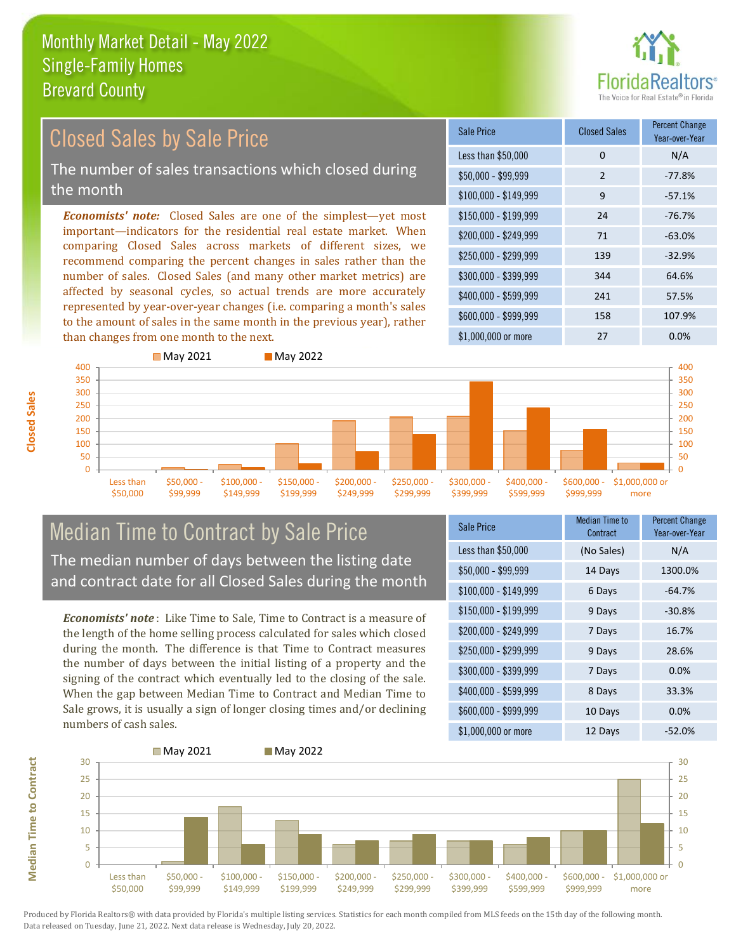

#### *Economists' note:* Closed Sales are one of the simplest—yet most important—indicators for the residential real estate market. When comparing Closed Sales across markets of different sizes, we recommend comparing the percent changes in sales rather than the number of sales. Closed Sales (and many other market metrics) are affected by seasonal cycles, so actual trends are more accurately represented by year-over-year changes (i.e. comparing a month's sales to the amount of sales in the same month in the previous year), rather than changes from one month to the next. \$1,000,000 or more 27 0.0% \$250,000 - \$299,999 139 -32.9% \$300,000 - \$399,999 344 64.6% \$400,000 - \$599,999 241 57.5% \$600,000 - \$999,999 158 107.9% \$150,000 - \$199,999 24 -76.7%  $$200.000 - $249.999$  71 -63.0% \$100,000 - \$149,999 9 -57.1% Sale Price Closed Sales Percent Change Year-over-Year Less than \$50,000 0 0 N/A \$50,000 - \$99,999 2 -77.8% **May 2021** May 2022 Closed Sales by Sale Price The number of sales transactions which closed during the month



### Median Time to Contract by Sale Price The median number of days between the listing date and contract date for all Closed Sales during the month

*Economists' note* : Like Time to Sale, Time to Contract is a measure of the length of the home selling process calculated for sales which closed during the month. The difference is that Time to Contract measures the number of days between the initial listing of a property and the signing of the contract which eventually led to the closing of the sale. When the gap between Median Time to Contract and Median Time to Sale grows, it is usually a sign of longer closing times and/or declining numbers of cash sales.

| Sale Price            | <b>Median Time to</b><br>Contract | <b>Percent Change</b><br>Year-over-Year |
|-----------------------|-----------------------------------|-----------------------------------------|
| Less than \$50,000    | (No Sales)                        | N/A                                     |
| $$50,000 - $99,999$   | 14 Days                           | 1300.0%                                 |
| $$100,000 - $149,999$ | 6 Days                            | $-64.7%$                                |
| $$150,000 - $199,999$ | 9 Days                            | $-30.8%$                                |
| \$200,000 - \$249,999 | 7 Days                            | 16.7%                                   |
| \$250,000 - \$299,999 | 9 Days                            | 28.6%                                   |
| \$300,000 - \$399,999 | 7 Days                            | 0.0%                                    |
| \$400,000 - \$599,999 | 8 Days                            | 33.3%                                   |
| \$600,000 - \$999,999 | 10 Days                           | 0.0%                                    |
| \$1,000,000 or more   | 12 Days                           | $-52.0%$                                |



**Closed Sales**

**Median Time to Contract Median Time to Contract**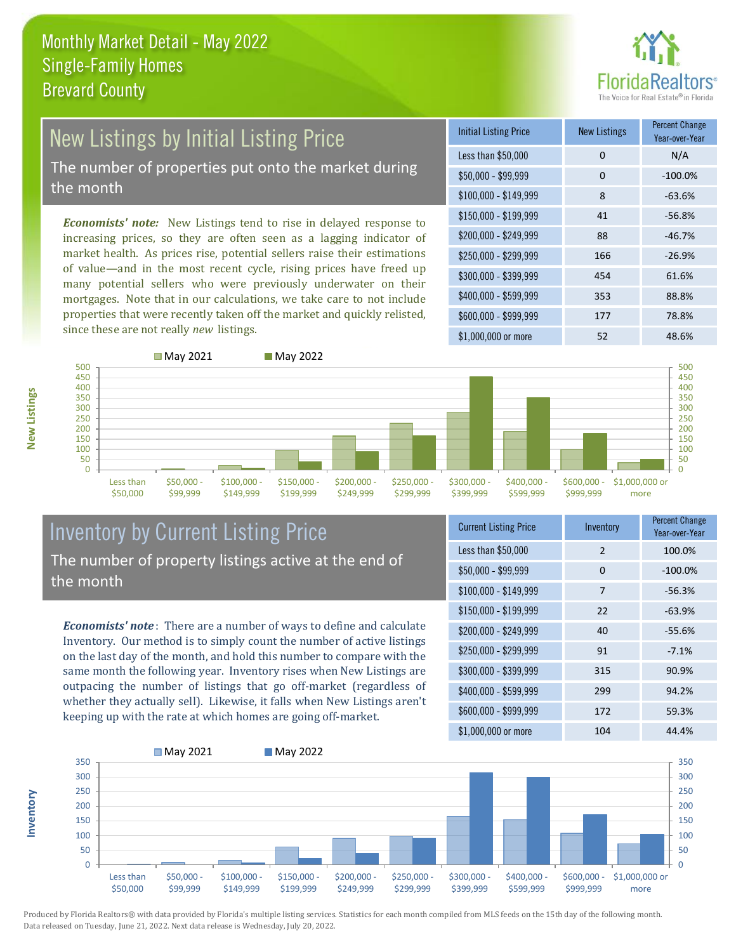

# New Listings by Initial Listing Price

The number of properties put onto the market during the month

*Economists' note:* New Listings tend to rise in delayed response to increasing prices, so they are often seen as a lagging indicator of market health. As prices rise, potential sellers raise their estimations of value—and in the most recent cycle, rising prices have freed up many potential sellers who were previously underwater on their mortgages. Note that in our calculations, we take care to not include properties that were recently taken off the market and quickly relisted, since these are not really *new* listings.

**May 2021** May 2022

| <b>Initial Listing Price</b> | <b>New Listings</b> | <b>Percent Change</b><br>Year-over-Year |
|------------------------------|---------------------|-----------------------------------------|
| Less than \$50,000           | 0                   | N/A                                     |
| $$50,000 - $99,999$          | 0                   | $-100.0%$                               |
| $$100,000 - $149,999$        | 8                   | $-63.6%$                                |
| $$150,000 - $199,999$        | 41                  | $-56.8%$                                |
| \$200,000 - \$249,999        | 88                  | $-46.7%$                                |
| \$250,000 - \$299,999        | 166                 | $-26.9%$                                |
| \$300,000 - \$399,999        | 454                 | 61.6%                                   |
| \$400,000 - \$599,999        | 353                 | 88.8%                                   |
| \$600,000 - \$999,999        | 177                 | 78.8%                                   |
| \$1,000,000 or more          | 52                  | 48.6%                                   |



\$50,000



\$199,999

\$249,999

\$299,999

\$399,999



#### Inventory by Current Listing Price The number of property listings active at the end of the month

\$149,999

\$99,999

*Economists' note* : There are a number of ways to define and calculate Inventory. Our method is to simply count the number of active listings on the last day of the month, and hold this number to compare with the same month the following year. Inventory rises when New Listings are outpacing the number of listings that go off-market (regardless of whether they actually sell). Likewise, it falls when New Listings aren't keeping up with the rate at which homes are going off-market.

| <b>Current Listing Price</b> | Inventory     | <b>Percent Change</b><br>Year-over-Year |
|------------------------------|---------------|-----------------------------------------|
| Less than \$50,000           | $\mathcal{P}$ | 100.0%                                  |
| $$50,000 - $99,999$          | 0             | $-100.0%$                               |
| $$100,000 - $149,999$        | 7             | $-56.3%$                                |
| $$150,000 - $199,999$        | 22            | $-63.9%$                                |
| \$200,000 - \$249,999        | 40            | $-55.6%$                                |
| \$250,000 - \$299,999        | 91            | $-7.1%$                                 |
| \$300,000 - \$399,999        | 315           | 90.9%                                   |
| \$400,000 - \$599,999        | 299           | 94.2%                                   |
| \$600,000 - \$999,999        | 172           | 59.3%                                   |
| \$1,000,000 or more          | 104           | 44.4%                                   |